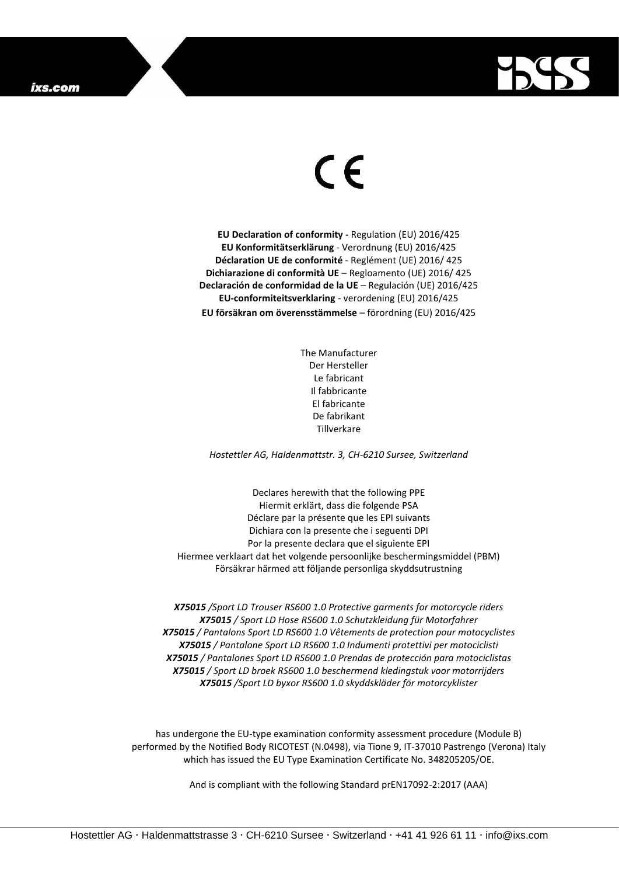

## $\epsilon$

**EU Declaration of conformity -** Regulation (EU) 2016/425 **EU Konformitätserklärung** - Verordnung (EU) 2016/425 **Déclaration UE de conformité** - Reglément (UE) 2016/ 425 **Dichiarazione di conformità UE** – Regloamento (UE) 2016/ 425 **Declaración de conformidad de la UE** – Regulación (UE) 2016/425 **EU-conformiteitsverklaring** - verordening (EU) 2016/425 **EU försäkran om överensstämmelse** – förordning (EU) 2016/425

> The Manufacturer Der Hersteller Le fabricant Il fabbricante El fabricante De fabrikant Tillverkare

*Hostettler AG, Haldenmattstr. 3, CH-6210 Sursee, Switzerland*

Declares herewith that the following PPE Hiermit erklärt, dass die folgende PSA Déclare par la présente que les EPI suivants Dichiara con la presente che i seguenti DPI Por la presente declara que el siguiente EPI Hiermee verklaart dat het volgende persoonlijke beschermingsmiddel (PBM) Försäkrar härmed att följande personliga skyddsutrustning

*X75015 /Sport LD Trouser RS600 1.0 Protective garments for motorcycle riders X75015 / Sport LD Hose RS600 1.0 Schutzkleidung für Motorfahrer X75015 / Pantalons Sport LD RS600 1.0 Vêtements de protection pour motocyclistes X75015 / Pantalone Sport LD RS600 1.0 Indumenti protettivi per motociclisti X75015 / Pantalones Sport LD RS600 1.0 Prendas de protección para motociclistas X75015 / Sport LD broek RS600 1.0 beschermend kledingstuk voor motorrijders X75015 /Sport LD byxor RS600 1.0 skyddskläder för motorcyklister*

has undergone the EU-type examination conformity assessment procedure (Module B) performed by the Notified Body RICOTEST (N.0498), via Tione 9, IT-37010 Pastrengo (Verona) Italy which has issued the EU Type Examination Certificate No. 348205205/OE.

And is compliant with the following Standard prEN17092-2:2017 (AAA)